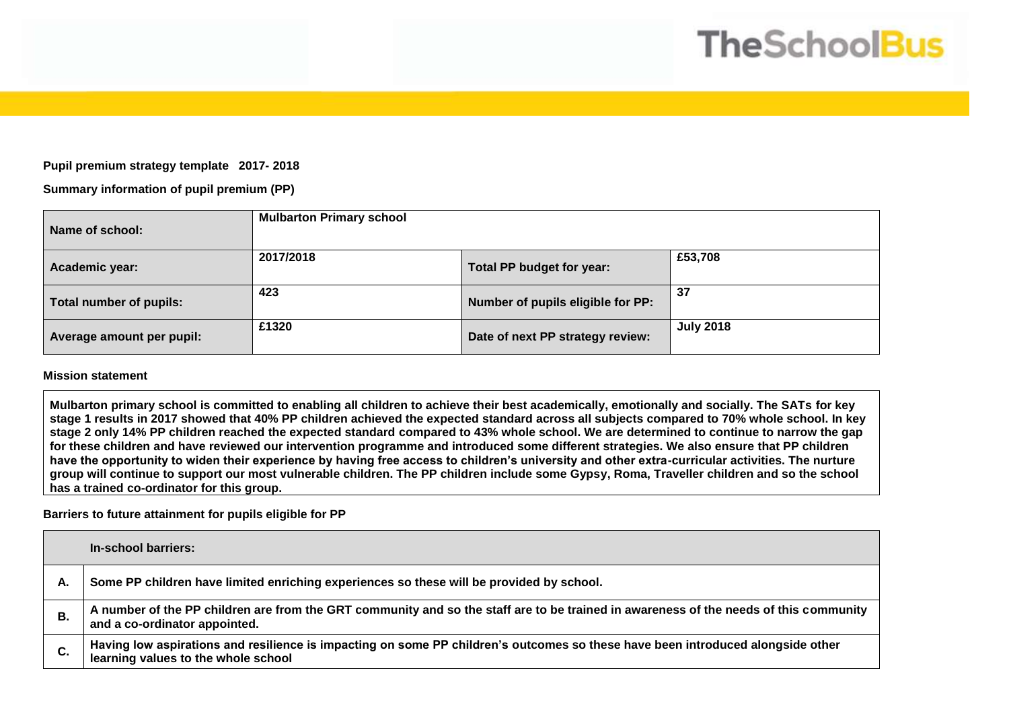# **TheSchoolBus**

## **Pupil premium strategy template 2017- 2018**

## **Summary information of pupil premium (PP)**

| Name of school:           | <b>Mulbarton Primary school</b> |                                   |                  |
|---------------------------|---------------------------------|-----------------------------------|------------------|
| Academic year:            | 2017/2018                       | Total PP budget for year:         | £53,708          |
| Total number of pupils:   | 423                             | Number of pupils eligible for PP: | 37               |
| Average amount per pupil: | £1320                           | Date of next PP strategy review:  | <b>July 2018</b> |

#### **Mission statement**

**Mulbarton primary school is committed to enabling all children to achieve their best academically, emotionally and socially. The SATs for key stage 1 results in 2017 showed that 40% PP children achieved the expected standard across all subjects compared to 70% whole school. In key stage 2 only 14% PP children reached the expected standard compared to 43% whole school. We are determined to continue to narrow the gap for these children and have reviewed our intervention programme and introduced some different strategies. We also ensure that PP children have the opportunity to widen their experience by having free access to children's university and other extra-curricular activities. The nurture group will continue to support our most vulnerable children. The PP children include some Gypsy, Roma, Traveller children and so the school has a trained co-ordinator for this group.** 

### **Barriers to future attainment for pupils eligible for PP**

|    | In-school barriers:                                                                                                                                                    |
|----|------------------------------------------------------------------------------------------------------------------------------------------------------------------------|
| А. | Some PP children have limited enriching experiences so these will be provided by school.                                                                               |
| В. | A number of the PP children are from the GRT community and so the staff are to be trained in awareness of the needs of this community<br>and a co-ordinator appointed. |
| C. | Having low aspirations and resilience is impacting on some PP children's outcomes so these have been introduced alongside other<br>learning values to the whole school |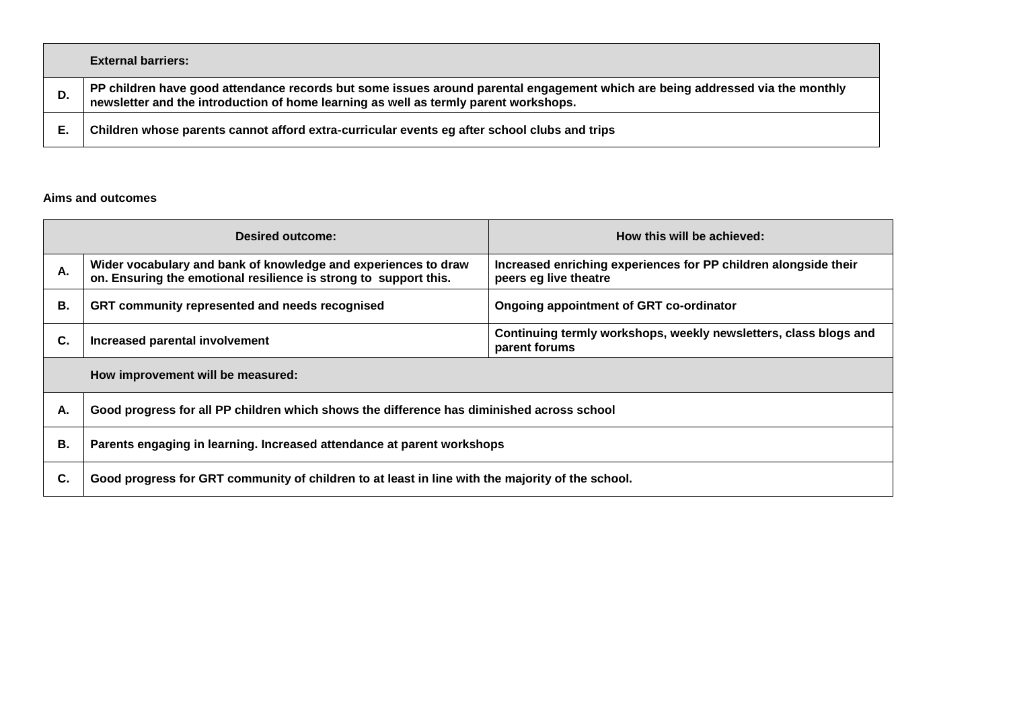|    | <b>External barriers:</b>                                                                                                                                                                                          |
|----|--------------------------------------------------------------------------------------------------------------------------------------------------------------------------------------------------------------------|
| D. | PP children have good attendance records but some issues around parental engagement which are being addressed via the monthly newsletter and the introduction of home learning as well as termly parent workshops. |
|    | Children whose parents cannot afford extra-curricular events eg after school clubs and trips                                                                                                                       |

## **Aims and outcomes**

| Desired outcome:                  |                                                                                                                                    | How this will be achieved:                                                               |  |  |  |
|-----------------------------------|------------------------------------------------------------------------------------------------------------------------------------|------------------------------------------------------------------------------------------|--|--|--|
| А.                                | Wider vocabulary and bank of knowledge and experiences to draw<br>on. Ensuring the emotional resilience is strong to support this. | Increased enriching experiences for PP children alongside their<br>peers eg live theatre |  |  |  |
| В.                                | GRT community represented and needs recognised<br>Ongoing appointment of GRT co-ordinator                                          |                                                                                          |  |  |  |
| C.                                | Increased parental involvement                                                                                                     | Continuing termly workshops, weekly newsletters, class blogs and<br>parent forums        |  |  |  |
| How improvement will be measured: |                                                                                                                                    |                                                                                          |  |  |  |
| А.                                | Good progress for all PP children which shows the difference has diminished across school                                          |                                                                                          |  |  |  |
| В.                                | Parents engaging in learning. Increased attendance at parent workshops                                                             |                                                                                          |  |  |  |
| C.                                | Good progress for GRT community of children to at least in line with the majority of the school.                                   |                                                                                          |  |  |  |